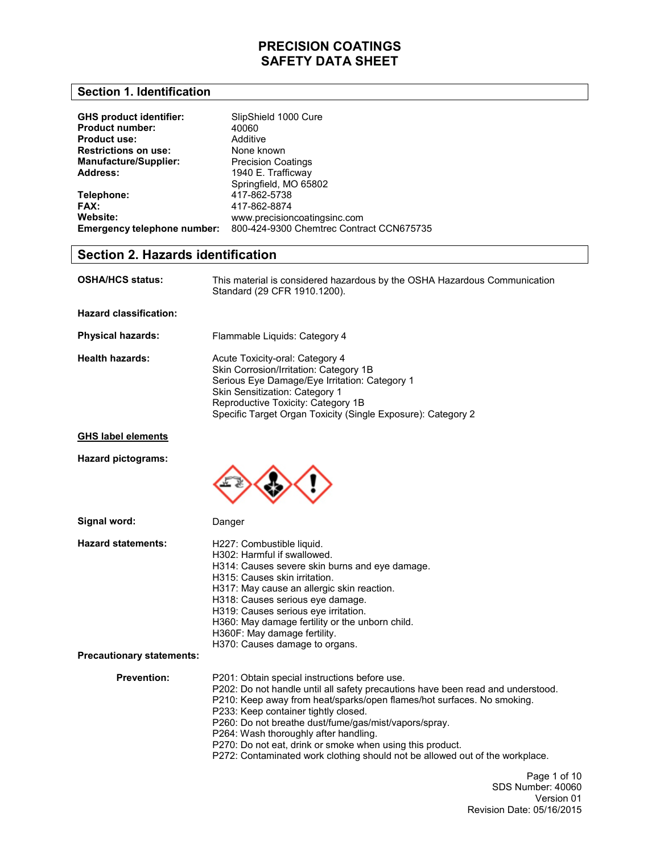### **Section 1. Identification**

| <b>GHS product identifier:</b> | SlipShield 1000 Cure                     |
|--------------------------------|------------------------------------------|
| <b>Product number:</b>         | 40060                                    |
| <b>Product use:</b>            | Additive                                 |
| <b>Restrictions on use:</b>    | None known                               |
| <b>Manufacture/Supplier:</b>   | <b>Precision Coatings</b>                |
| Address:                       | 1940 E. Trafficway                       |
|                                | Springfield, MO 65802                    |
| Telephone:                     | 417-862-5738                             |
| FAX:                           | 417-862-8874                             |
| Website:                       | www.precisioncoatingsinc.com             |
| Emergency telephone number:    | 800-424-9300 Chemtrec Contract CCN675735 |

### **Section 2. Hazards identification**

| <b>OSHA/HCS status:</b> | This material is considered hazardous by the OSHA Hazardous Communication |
|-------------------------|---------------------------------------------------------------------------|
|                         | Standard (29 CFR 1910.1200).                                              |

**Hazard classification:** 

| <b>Physical hazards:</b> | Flammable Liquids: Category 4                                                                                                                                                                                                                                      |
|--------------------------|--------------------------------------------------------------------------------------------------------------------------------------------------------------------------------------------------------------------------------------------------------------------|
| <b>Health hazards:</b>   | Acute Toxicity-oral: Category 4<br>Skin Corrosion/Irritation: Category 1B<br>Serious Eye Damage/Eye Irritation: Category 1<br>Skin Sensitization: Category 1<br>Reproductive Toxicity: Category 1B<br>Specific Target Organ Toxicity (Single Exposure): Category 2 |

### **GHS label elements**

**Hazard pictograms:** 



H227: Combustible liquid.

| Signal word:              |
|---------------------------|
| <b>Hazard statements:</b> |

| Danger |  |
|--------|--|

**Precautionary statements: Prevention:**  H302: Harmful if swallowed. H314: Causes severe skin burns and eye damage. H315: Causes skin irritation. H317: May cause an allergic skin reaction. H318: Causes serious eye damage. H319: Causes serious eye irritation. H360: May damage fertility or the unborn child. H360F: May damage fertility. H370: Causes damage to organs. P201: Obtain special instructions before use. P202: Do not handle until all safety precautions have been read and understood. P210: Keep away from heat/sparks/open flames/hot surfaces. No smoking. P233: Keep container tightly closed. P260: Do not breathe dust/fume/gas/mist/vapors/spray. P264: Wash thoroughly after handling. P270: Do not eat, drink or smoke when using this product. P272: Contaminated work clothing should not be allowed out of the workplace.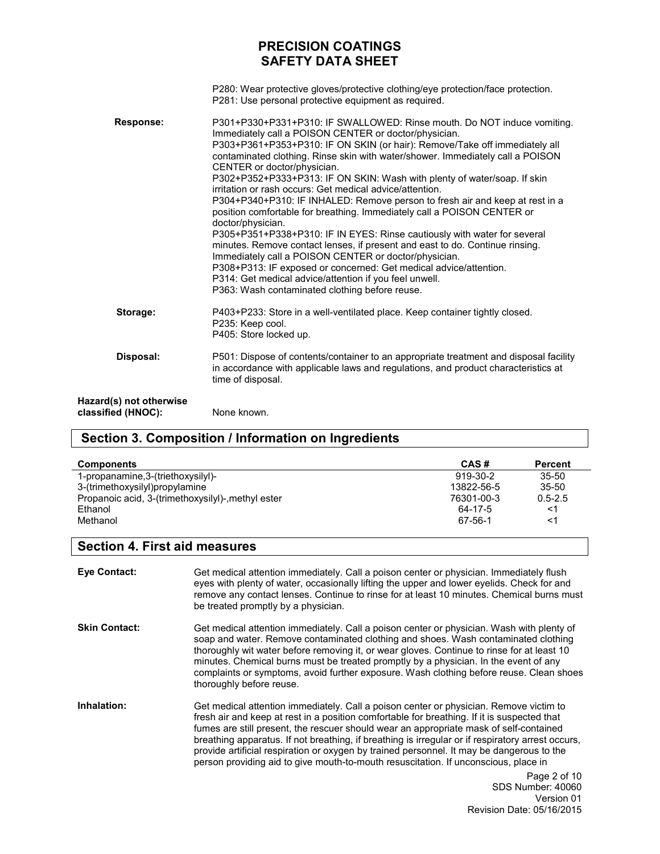|                                               | P280: Wear protective gloves/protective clothing/eye protection/face protection.<br>P281: Use personal protective equipment as required.                                                                                                                                                                                                                                                                                                                                                                                                                                                                                                                                                                                                                                                                                                                                                                                                                                                                                                                      |
|-----------------------------------------------|---------------------------------------------------------------------------------------------------------------------------------------------------------------------------------------------------------------------------------------------------------------------------------------------------------------------------------------------------------------------------------------------------------------------------------------------------------------------------------------------------------------------------------------------------------------------------------------------------------------------------------------------------------------------------------------------------------------------------------------------------------------------------------------------------------------------------------------------------------------------------------------------------------------------------------------------------------------------------------------------------------------------------------------------------------------|
| <b>Response:</b>                              | P301+P330+P331+P310: IF SWALLOWED: Rinse mouth. Do NOT induce vomiting.<br>Immediately call a POISON CENTER or doctor/physician.<br>P303+P361+P353+P310: IF ON SKIN (or hair): Remove/Take off immediately all<br>contaminated clothing. Rinse skin with water/shower. Immediately call a POISON<br>CENTER or doctor/physician.<br>P302+P352+P333+P313: IF ON SKIN: Wash with plenty of water/soap. If skin<br>irritation or rash occurs: Get medical advice/attention.<br>P304+P340+P310: IF INHALED: Remove person to fresh air and keep at rest in a<br>position comfortable for breathing. Immediately call a POISON CENTER or<br>doctor/physician.<br>P305+P351+P338+P310: IF IN EYES: Rinse cautiously with water for several<br>minutes. Remove contact lenses, if present and east to do. Continue rinsing.<br>Immediately call a POISON CENTER or doctor/physician.<br>P308+P313: IF exposed or concerned: Get medical advice/attention.<br>P314: Get medical advice/attention if you feel unwell.<br>P363: Wash contaminated clothing before reuse. |
| Storage:                                      | P403+P233: Store in a well-ventilated place. Keep container tightly closed.<br>P235: Keep cool.<br>P405: Store locked up.                                                                                                                                                                                                                                                                                                                                                                                                                                                                                                                                                                                                                                                                                                                                                                                                                                                                                                                                     |
| Disposal:                                     | P501: Dispose of contents/container to an appropriate treatment and disposal facility<br>in accordance with applicable laws and regulations, and product characteristics at<br>time of disposal.                                                                                                                                                                                                                                                                                                                                                                                                                                                                                                                                                                                                                                                                                                                                                                                                                                                              |
| Hazard(s) not otherwise<br>classified (HNOC): | None known.                                                                                                                                                                                                                                                                                                                                                                                                                                                                                                                                                                                                                                                                                                                                                                                                                                                                                                                                                                                                                                                   |

## **Section 3. Composition / Information on Ingredients**

| <b>Components</b>                                  | CAS#       | <b>Percent</b> |
|----------------------------------------------------|------------|----------------|
| 1-propanamine, 3-(triethoxysilyl)-                 | 919-30-2   | $35 - 50$      |
| 3-(trimethoxysilyl)propylamine                     | 13822-56-5 | $35 - 50$      |
| Propanoic acid, 3-(trimethoxysilyl)-, methyl ester | 76301-00-3 | $0.5 - 2.5$    |
| Ethanol                                            | 64-17-5    | <1             |
| Methanol                                           | 67-56-1    | <1             |

## **Section 4. First aid measures**

| <b>Eve Contact:</b>  | Get medical attention immediately. Call a poison center or physician. Immediately flush<br>eyes with plenty of water, occasionally lifting the upper and lower eyelids. Check for and<br>remove any contact lenses. Continue to rinse for at least 10 minutes. Chemical burns must<br>be treated promptly by a physician.                                                                                                                                                                                                                                                |
|----------------------|--------------------------------------------------------------------------------------------------------------------------------------------------------------------------------------------------------------------------------------------------------------------------------------------------------------------------------------------------------------------------------------------------------------------------------------------------------------------------------------------------------------------------------------------------------------------------|
| <b>Skin Contact:</b> | Get medical attention immediately. Call a poison center or physician. Wash with plenty of<br>soap and water. Remove contaminated clothing and shoes. Wash contaminated clothing<br>thoroughly wit water before removing it, or wear gloves. Continue to rinse for at least 10<br>minutes. Chemical burns must be treated promptly by a physician. In the event of any<br>complaints or symptoms, avoid further exposure. Wash clothing before reuse. Clean shoes<br>thoroughly before reuse.                                                                             |
| Inhalation:          | Get medical attention immediately. Call a poison center or physician. Remove victim to<br>fresh air and keep at rest in a position comfortable for breathing. If it is suspected that<br>fumes are still present, the rescuer should wear an appropriate mask of self-contained<br>breathing apparatus. If not breathing, if breathing is irregular or if respiratory arrest occurs,<br>provide artificial respiration or oxygen by trained personnel. It may be dangerous to the<br>person providing aid to give mouth-to-mouth resuscitation. If unconscious, place in |
|                      | Page 2 of 10<br><b>SDS Number: 40060</b><br>Version 01                                                                                                                                                                                                                                                                                                                                                                                                                                                                                                                   |

Revision Date: 05/16/2015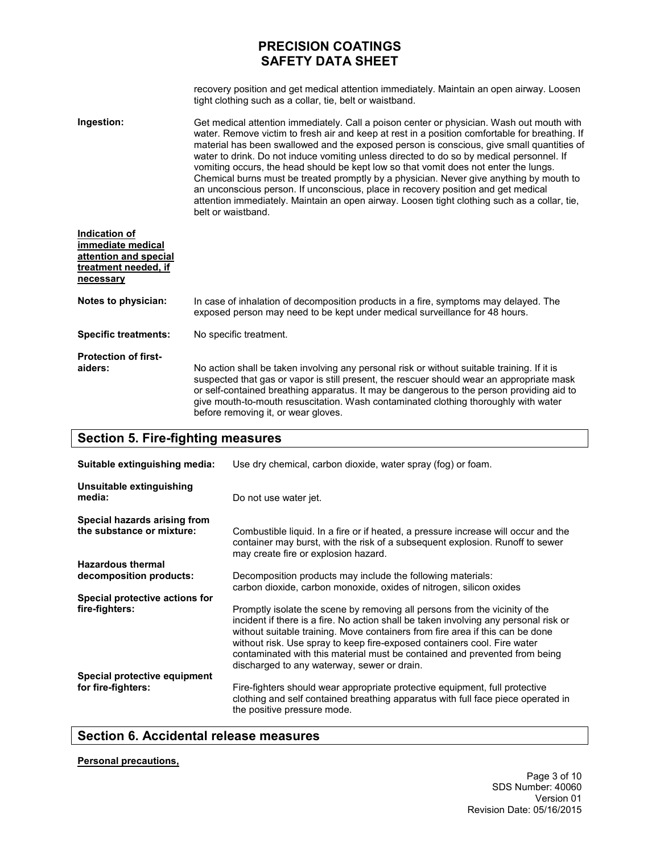recovery position and get medical attention immediately. Maintain an open airway. Loosen tight clothing such as a collar, tie, belt or waistband.

**Ingestion:**  Get medical attention immediately. Call a poison center or physician. Wash out mouth with water. Remove victim to fresh air and keep at rest in a position comfortable for breathing. If material has been swallowed and the exposed person is conscious, give small quantities of water to drink. Do not induce vomiting unless directed to do so by medical personnel. If vomiting occurs, the head should be kept low so that vomit does not enter the lungs. Chemical burns must be treated promptly by a physician. Never give anything by mouth to an unconscious person. If unconscious, place in recovery position and get medical attention immediately. Maintain an open airway. Loosen tight clothing such as a collar, tie, belt or waistband.

| Indication of<br>immediate medical<br>attention and special<br>treatment needed, if<br>necessary |                                                                                                                                                                                                                                                                                                                                                                                                                     |
|--------------------------------------------------------------------------------------------------|---------------------------------------------------------------------------------------------------------------------------------------------------------------------------------------------------------------------------------------------------------------------------------------------------------------------------------------------------------------------------------------------------------------------|
| Notes to physician:                                                                              | In case of inhalation of decomposition products in a fire, symptoms may delayed. The<br>exposed person may need to be kept under medical surveillance for 48 hours.                                                                                                                                                                                                                                                 |
| <b>Specific treatments:</b>                                                                      | No specific treatment.                                                                                                                                                                                                                                                                                                                                                                                              |
| <b>Protection of first-</b><br>aiders:                                                           | No action shall be taken involving any personal risk or without suitable training. If it is<br>suspected that gas or vapor is still present, the rescuer should wear an appropriate mask<br>or self-contained breathing apparatus. It may be dangerous to the person providing aid to<br>give mouth-to-mouth resuscitation. Wash contaminated clothing thoroughly with water<br>before removing it, or wear gloves. |

### **Section 5. Fire-fighting measures**

| Suitable extinguishing media:                             | Use dry chemical, carbon dioxide, water spray (fog) or foam.                                                                                                                                                                                                                                                                                                                                                                                                  |
|-----------------------------------------------------------|---------------------------------------------------------------------------------------------------------------------------------------------------------------------------------------------------------------------------------------------------------------------------------------------------------------------------------------------------------------------------------------------------------------------------------------------------------------|
| Unsuitable extinguishing<br>media:                        | Do not use water jet.                                                                                                                                                                                                                                                                                                                                                                                                                                         |
| Special hazards arising from<br>the substance or mixture: | Combustible liquid. In a fire or if heated, a pressure increase will occur and the<br>container may burst, with the risk of a subsequent explosion. Runoff to sewer<br>may create fire or explosion hazard.                                                                                                                                                                                                                                                   |
| <b>Hazardous thermal</b><br>decomposition products:       | Decomposition products may include the following materials:<br>carbon dioxide, carbon monoxide, oxides of nitrogen, silicon oxides                                                                                                                                                                                                                                                                                                                            |
| Special protective actions for<br>fire-fighters:          | Promptly isolate the scene by removing all persons from the vicinity of the<br>incident if there is a fire. No action shall be taken involving any personal risk or<br>without suitable training. Move containers from fire area if this can be done<br>without risk. Use spray to keep fire-exposed containers cool. Fire water<br>contaminated with this material must be contained and prevented from being<br>discharged to any waterway, sewer or drain. |
| Special protective equipment<br>for fire-fighters:        | Fire-fighters should wear appropriate protective equipment, full protective<br>clothing and self contained breathing apparatus with full face piece operated in<br>the positive pressure mode.                                                                                                                                                                                                                                                                |

## **Section 6. Accidental release measures**

### **Personal precautions,**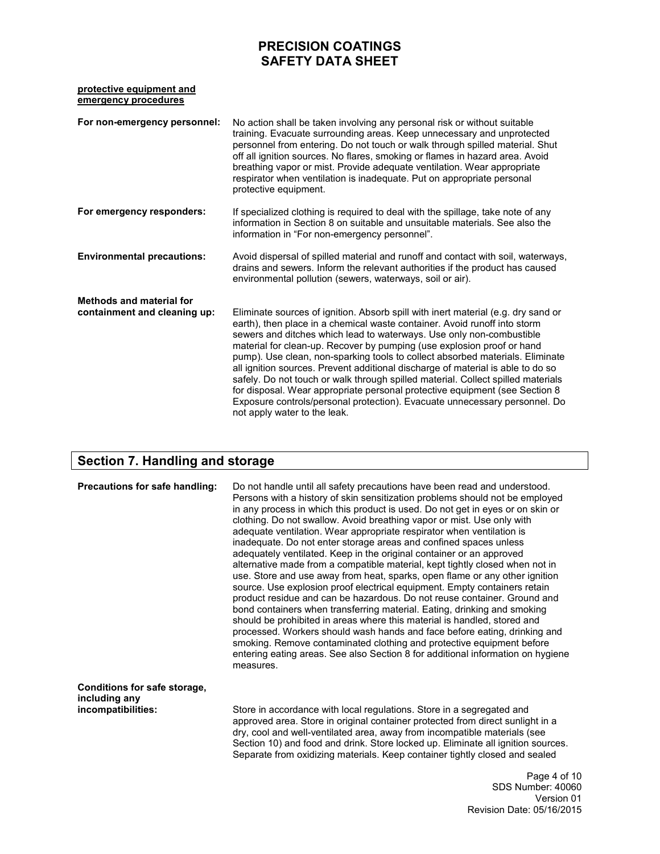### **protective equipment and emergency procedures**

| For non-emergency personnel:                                    | No action shall be taken involving any personal risk or without suitable<br>training. Evacuate surrounding areas. Keep unnecessary and unprotected<br>personnel from entering. Do not touch or walk through spilled material. Shut<br>off all ignition sources. No flares, smoking or flames in hazard area. Avoid<br>breathing vapor or mist. Provide adequate ventilation. Wear appropriate<br>respirator when ventilation is inadequate. Put on appropriate personal<br>protective equipment.                                                                                                                                                                                                                                                                      |
|-----------------------------------------------------------------|-----------------------------------------------------------------------------------------------------------------------------------------------------------------------------------------------------------------------------------------------------------------------------------------------------------------------------------------------------------------------------------------------------------------------------------------------------------------------------------------------------------------------------------------------------------------------------------------------------------------------------------------------------------------------------------------------------------------------------------------------------------------------|
| For emergency responders:                                       | If specialized clothing is required to deal with the spillage, take note of any<br>information in Section 8 on suitable and unsuitable materials. See also the<br>information in "For non-emergency personnel".                                                                                                                                                                                                                                                                                                                                                                                                                                                                                                                                                       |
| <b>Environmental precautions:</b>                               | Avoid dispersal of spilled material and runoff and contact with soil, waterways,<br>drains and sewers. Inform the relevant authorities if the product has caused<br>environmental pollution (sewers, waterways, soil or air).                                                                                                                                                                                                                                                                                                                                                                                                                                                                                                                                         |
| <b>Methods and material for</b><br>containment and cleaning up: | Eliminate sources of ignition. Absorb spill with inert material (e.g. dry sand or<br>earth), then place in a chemical waste container. Avoid runoff into storm<br>sewers and ditches which lead to waterways. Use only non-combustible<br>material for clean-up. Recover by pumping (use explosion proof or hand<br>pump). Use clean, non-sparking tools to collect absorbed materials. Eliminate<br>all ignition sources. Prevent additional discharge of material is able to do so<br>safely. Do not touch or walk through spilled material. Collect spilled materials<br>for disposal. Wear appropriate personal protective equipment (see Section 8<br>Exposure controls/personal protection). Evacuate unnecessary personnel. Do<br>not apply water to the leak. |

## **Section 7. Handling and storage**

| Precautions for safe handling:                                      | Do not handle until all safety precautions have been read and understood.<br>Persons with a history of skin sensitization problems should not be employed<br>in any process in which this product is used. Do not get in eyes or on skin or<br>clothing. Do not swallow. Avoid breathing vapor or mist. Use only with<br>adequate ventilation. Wear appropriate respirator when ventilation is<br>inadequate. Do not enter storage areas and confined spaces unless<br>adequately ventilated. Keep in the original container or an approved<br>alternative made from a compatible material, kept tightly closed when not in<br>use. Store and use away from heat, sparks, open flame or any other ignition<br>source. Use explosion proof electrical equipment. Empty containers retain<br>product residue and can be hazardous. Do not reuse container. Ground and<br>bond containers when transferring material. Eating, drinking and smoking<br>should be prohibited in areas where this material is handled, stored and<br>processed. Workers should wash hands and face before eating, drinking and<br>smoking. Remove contaminated clothing and protective equipment before<br>entering eating areas. See also Section 8 for additional information on hygiene<br>measures. |
|---------------------------------------------------------------------|-----------------------------------------------------------------------------------------------------------------------------------------------------------------------------------------------------------------------------------------------------------------------------------------------------------------------------------------------------------------------------------------------------------------------------------------------------------------------------------------------------------------------------------------------------------------------------------------------------------------------------------------------------------------------------------------------------------------------------------------------------------------------------------------------------------------------------------------------------------------------------------------------------------------------------------------------------------------------------------------------------------------------------------------------------------------------------------------------------------------------------------------------------------------------------------------------------------------------------------------------------------------------------------|
| Conditions for safe storage,<br>including any<br>incompatibilities: | Store in accordance with local regulations. Store in a segregated and<br>approved area. Store in original container protected from direct sunlight in a<br>dry, cool and well-ventilated area, away from incompatible materials (see<br>Section 10) and food and drink. Store locked up. Eliminate all ignition sources.<br>Separate from oxidizing materials. Keep container tightly closed and sealed                                                                                                                                                                                                                                                                                                                                                                                                                                                                                                                                                                                                                                                                                                                                                                                                                                                                           |
|                                                                     | Page 4 of 1<br>SDS Number: 4006                                                                                                                                                                                                                                                                                                                                                                                                                                                                                                                                                                                                                                                                                                                                                                                                                                                                                                                                                                                                                                                                                                                                                                                                                                                   |

 $\overline{\mathbf{0}}$ SDS Number: 40060 Version 01 Revision Date: 05/16/2015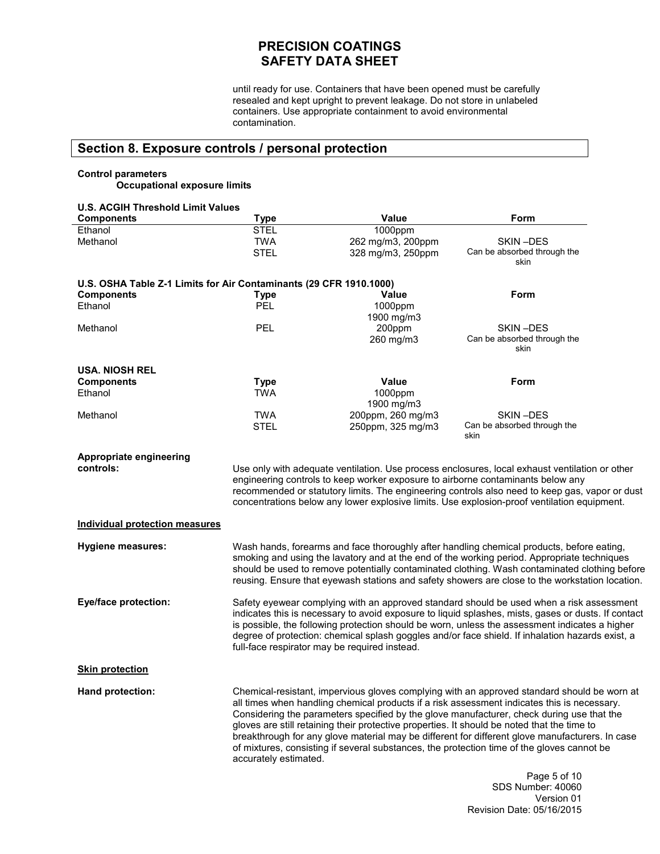until ready for use. Containers that have been opened must be carefully resealed and kept upright to prevent leakage. Do not store in unlabeled containers. Use appropriate containment to avoid environmental contamination.

## **Section 8. Exposure controls / personal protection**

### **Control parameters Occupational exposure limits**

| <b>U.S. ACGIH Threshold Limit Values</b>                           |                           |                                                                                 |                                                                                                                                                                                                                                                                                                                                                                                                                                                                                                                                                                                         |
|--------------------------------------------------------------------|---------------------------|---------------------------------------------------------------------------------|-----------------------------------------------------------------------------------------------------------------------------------------------------------------------------------------------------------------------------------------------------------------------------------------------------------------------------------------------------------------------------------------------------------------------------------------------------------------------------------------------------------------------------------------------------------------------------------------|
| <b>Components</b>                                                  | <b>Type</b>               | Value                                                                           | Form                                                                                                                                                                                                                                                                                                                                                                                                                                                                                                                                                                                    |
| Ethanol<br>Methanol                                                | <b>STEL</b><br><b>TWA</b> | 1000ppm<br>262 mg/m3, 200ppm                                                    | SKIN-DES                                                                                                                                                                                                                                                                                                                                                                                                                                                                                                                                                                                |
|                                                                    | <b>STEL</b>               | 328 mg/m3, 250ppm                                                               | Can be absorbed through the<br>skin                                                                                                                                                                                                                                                                                                                                                                                                                                                                                                                                                     |
| U.S. OSHA Table Z-1 Limits for Air Contaminants (29 CFR 1910.1000) |                           |                                                                                 |                                                                                                                                                                                                                                                                                                                                                                                                                                                                                                                                                                                         |
| <b>Components</b>                                                  | <b>Type</b>               | <b>Value</b>                                                                    | Form                                                                                                                                                                                                                                                                                                                                                                                                                                                                                                                                                                                    |
| Ethanol                                                            | PEL                       | 1000ppm<br>1900 mg/m3                                                           |                                                                                                                                                                                                                                                                                                                                                                                                                                                                                                                                                                                         |
| Methanol                                                           | PEL                       | 200ppm<br>260 mg/m3                                                             | SKIN-DES<br>Can be absorbed through the<br>skin                                                                                                                                                                                                                                                                                                                                                                                                                                                                                                                                         |
| <b>USA. NIOSH REL</b>                                              |                           |                                                                                 |                                                                                                                                                                                                                                                                                                                                                                                                                                                                                                                                                                                         |
| <b>Components</b>                                                  | <b>Type</b>               | Value                                                                           | Form                                                                                                                                                                                                                                                                                                                                                                                                                                                                                                                                                                                    |
| Ethanol                                                            | <b>TWA</b>                | 1000ppm<br>1900 mg/m3                                                           |                                                                                                                                                                                                                                                                                                                                                                                                                                                                                                                                                                                         |
| Methanol                                                           | <b>TWA</b>                | 200ppm, 260 mg/m3                                                               | SKIN-DES                                                                                                                                                                                                                                                                                                                                                                                                                                                                                                                                                                                |
|                                                                    | <b>STEL</b>               | 250ppm, 325 mg/m3                                                               | Can be absorbed through the<br>skin                                                                                                                                                                                                                                                                                                                                                                                                                                                                                                                                                     |
| Appropriate engineering                                            |                           |                                                                                 |                                                                                                                                                                                                                                                                                                                                                                                                                                                                                                                                                                                         |
| controls:                                                          |                           |                                                                                 | Use only with adequate ventilation. Use process enclosures, local exhaust ventilation or other                                                                                                                                                                                                                                                                                                                                                                                                                                                                                          |
|                                                                    |                           | engineering controls to keep worker exposure to airborne contaminants below any |                                                                                                                                                                                                                                                                                                                                                                                                                                                                                                                                                                                         |
|                                                                    |                           |                                                                                 | recommended or statutory limits. The engineering controls also need to keep gas, vapor or dust                                                                                                                                                                                                                                                                                                                                                                                                                                                                                          |
|                                                                    |                           |                                                                                 | concentrations below any lower explosive limits. Use explosion-proof ventilation equipment.                                                                                                                                                                                                                                                                                                                                                                                                                                                                                             |
| <b>Individual protection measures</b>                              |                           |                                                                                 |                                                                                                                                                                                                                                                                                                                                                                                                                                                                                                                                                                                         |
| <b>Hygiene measures:</b>                                           |                           |                                                                                 | Wash hands, forearms and face thoroughly after handling chemical products, before eating,<br>smoking and using the lavatory and at the end of the working period. Appropriate techniques<br>should be used to remove potentially contaminated clothing. Wash contaminated clothing before<br>reusing. Ensure that eyewash stations and safety showers are close to the workstation location.                                                                                                                                                                                            |
| <b>Eye/face protection:</b>                                        |                           | full-face respirator may be required instead.                                   | Safety eyewear complying with an approved standard should be used when a risk assessment<br>indicates this is necessary to avoid exposure to liquid splashes, mists, gases or dusts. If contact<br>is possible, the following protection should be worn, unless the assessment indicates a higher<br>degree of protection: chemical splash goggles and/or face shield. If inhalation hazards exist, a                                                                                                                                                                                   |
| <b>Skin protection</b>                                             |                           |                                                                                 |                                                                                                                                                                                                                                                                                                                                                                                                                                                                                                                                                                                         |
| Hand protection:                                                   | accurately estimated.     |                                                                                 | Chemical-resistant, impervious gloves complying with an approved standard should be worn at<br>all times when handling chemical products if a risk assessment indicates this is necessary.<br>Considering the parameters specified by the glove manufacturer, check during use that the<br>gloves are still retaining their protective properties. It should be noted that the time to<br>breakthrough for any glove material may be different for different glove manufacturers. In case<br>of mixtures, consisting if several substances, the protection time of the gloves cannot be |
|                                                                    |                           |                                                                                 | Page 5 of 10<br>SDS Number: 40060                                                                                                                                                                                                                                                                                                                                                                                                                                                                                                                                                       |

SDS Number: 40060 Version 01 Revision Date: 05/16/2015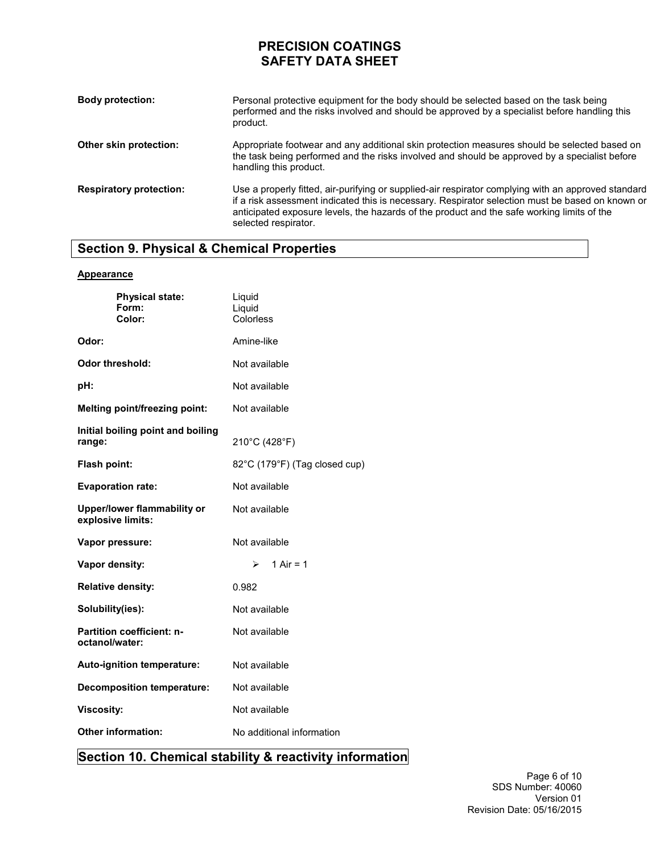| <b>Body protection:</b>        | Personal protective equipment for the body should be selected based on the task being<br>performed and the risks involved and should be approved by a specialist before handling this<br>product.                                                                                                                             |
|--------------------------------|-------------------------------------------------------------------------------------------------------------------------------------------------------------------------------------------------------------------------------------------------------------------------------------------------------------------------------|
| Other skin protection:         | Appropriate footwear and any additional skin protection measures should be selected based on<br>the task being performed and the risks involved and should be approved by a specialist before<br>handling this product.                                                                                                       |
| <b>Respiratory protection:</b> | Use a properly fitted, air-purifying or supplied-air respirator complying with an approved standard<br>if a risk assessment indicated this is necessary. Respirator selection must be based on known or<br>anticipated exposure levels, the hazards of the product and the safe working limits of the<br>selected respirator. |

## **Section 9. Physical & Chemical Properties**

### **Appearance**

| <b>Physical state:</b><br>Form:<br>Color:          | Liquid<br>Liquid<br>Colorless |
|----------------------------------------------------|-------------------------------|
| Odor:                                              | Amine-like                    |
| Odor threshold:                                    | Not available                 |
| pH:                                                | Not available                 |
| Melting point/freezing point:                      | Not available                 |
| Initial boiling point and boiling<br>range:        | 210°C (428°F)                 |
| Flash point:                                       | 82°C (179°F) (Tag closed cup) |
| <b>Evaporation rate:</b>                           | Not available                 |
| Upper/lower flammability or<br>explosive limits:   | Not available                 |
| Vapor pressure:                                    | Not available                 |
| Vapor density:                                     | 1 Air = $1$<br>≻              |
| <b>Relative density:</b>                           | 0.982                         |
| Solubility(ies):                                   | Not available                 |
| <b>Partition coefficient: n-</b><br>octanol/water: | Not available                 |
| Auto-ignition temperature:                         | Not available                 |
| <b>Decomposition temperature:</b>                  | Not available                 |
| <b>Viscosity:</b>                                  | Not available                 |
| <b>Other information:</b>                          | No additional information     |

## **Section 10. Chemical stability & reactivity information**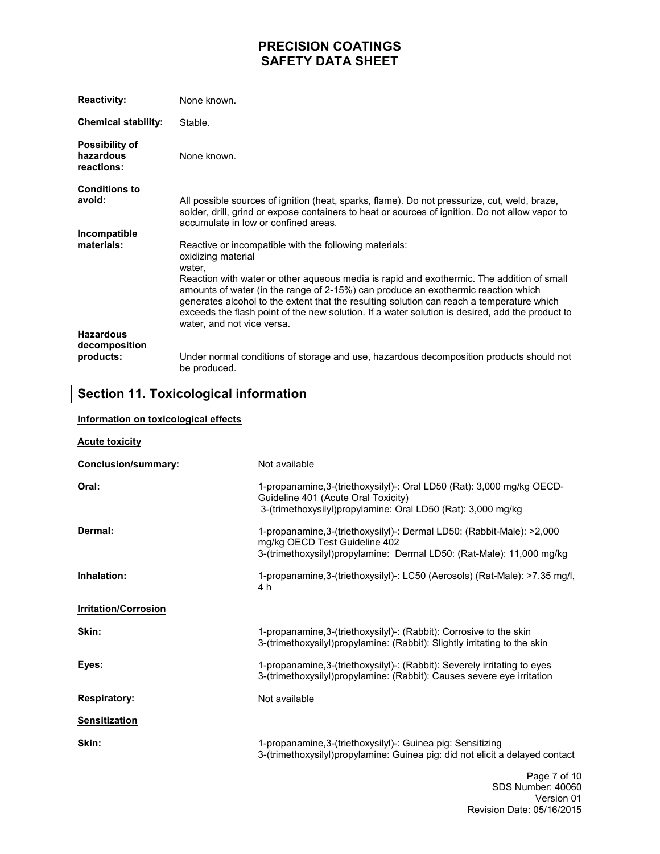| <b>Reactivity:</b>                               | None known.                                                                                                                                                                                                                                                                                                                                                                                                                                                                                            |
|--------------------------------------------------|--------------------------------------------------------------------------------------------------------------------------------------------------------------------------------------------------------------------------------------------------------------------------------------------------------------------------------------------------------------------------------------------------------------------------------------------------------------------------------------------------------|
| <b>Chemical stability:</b>                       | Stable.                                                                                                                                                                                                                                                                                                                                                                                                                                                                                                |
| <b>Possibility of</b><br>hazardous<br>reactions: | None known.                                                                                                                                                                                                                                                                                                                                                                                                                                                                                            |
| <b>Conditions to</b><br>avoid:                   | All possible sources of ignition (heat, sparks, flame). Do not pressurize, cut, weld, braze,<br>solder, drill, grind or expose containers to heat or sources of ignition. Do not allow vapor to<br>accumulate in low or confined areas.                                                                                                                                                                                                                                                                |
| Incompatible<br>materials:                       | Reactive or incompatible with the following materials:<br>oxidizing material<br>water,<br>Reaction with water or other aqueous media is rapid and exothermic. The addition of small<br>amounts of water (in the range of 2-15%) can produce an exothermic reaction which<br>generates alcohol to the extent that the resulting solution can reach a temperature which<br>exceeds the flash point of the new solution. If a water solution is desired, add the product to<br>water, and not vice versa. |
| <b>Hazardous</b><br>decomposition<br>products:   | Under normal conditions of storage and use, hazardous decomposition products should not<br>be produced.                                                                                                                                                                                                                                                                                                                                                                                                |

# **Section 11. Toxicological information**

### **Information on toxicological effects**

| <b>Acute toxicity</b>       |                                                                                                                                                                                  |
|-----------------------------|----------------------------------------------------------------------------------------------------------------------------------------------------------------------------------|
| <b>Conclusion/summary:</b>  | Not available                                                                                                                                                                    |
| Oral:                       | 1-propanamine, 3-(triethoxysilyl)-: Oral LD50 (Rat): 3,000 mg/kg OECD-<br>Guideline 401 (Acute Oral Toxicity)<br>3-(trimethoxysilyl)propylamine: Oral LD50 (Rat): 3,000 mg/kg    |
| Dermal:                     | 1-propanamine, 3-(triethoxysilyl)-: Dermal LD50: (Rabbit-Male): >2,000<br>mg/kg OECD Test Guideline 402<br>3-(trimethoxysilyl)propylamine: Dermal LD50: (Rat-Male): 11,000 mg/kg |
| Inhalation:                 | 1-propanamine, 3-(triethoxysilyl)-: LC50 (Aerosols) (Rat-Male): >7.35 mg/l,<br>4 h                                                                                               |
| <b>Irritation/Corrosion</b> |                                                                                                                                                                                  |
| Skin:                       | 1-propanamine, 3-(triethoxysilyl)-: (Rabbit): Corrosive to the skin<br>3-(trimethoxysilyl) propylamine: (Rabbit): Slightly irritating to the skin                                |
| Eyes:                       | 1-propanamine, 3-(triethoxysilyl)-: (Rabbit): Severely irritating to eyes<br>3-(trimethoxysilyl)propylamine: (Rabbit): Causes severe eye irritation                              |
| <b>Respiratory:</b>         | Not available                                                                                                                                                                    |
| <b>Sensitization</b>        |                                                                                                                                                                                  |
| Skin:                       | 1-propanamine, 3-(triethoxysilyl)-: Guinea pig: Sensitizing<br>3-(trimethoxysilyl)propylamine: Guinea pig: did not elicit a delayed contact                                      |
|                             | Page 7 of 10<br>$000h$ $\ldots$ $\ldots$ $1000$                                                                                                                                  |

Page 7 of 10 SDS Number: 40060 Version 01 Revision Date: 05/16/2015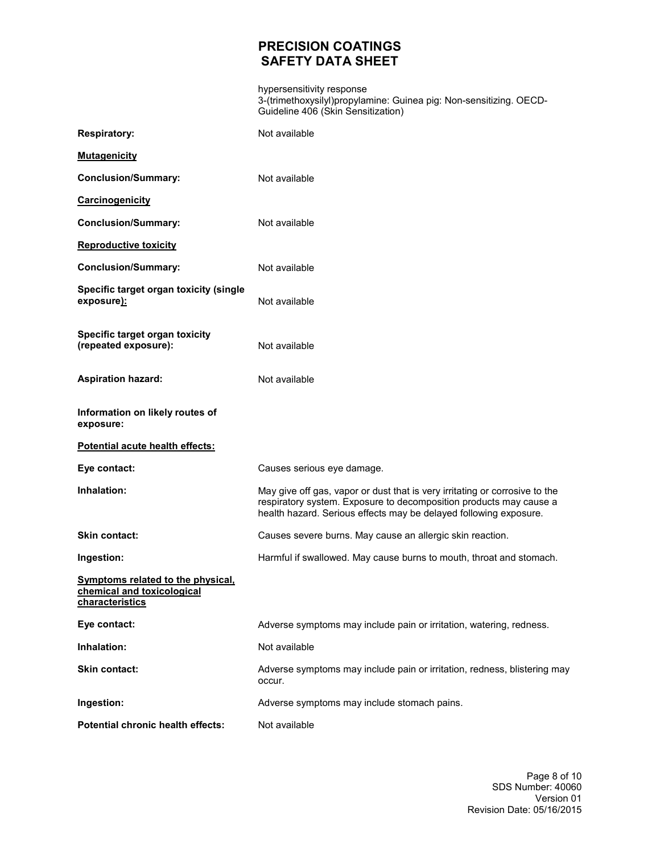hypersensitivity response 3-(trimethoxysilyl)propylamine: Guinea pig: Non-sensitizing. OECD-Guideline 406 (Skin Sensitization)

| <b>Respiratory:</b>                                                                       | Not available                                                                                                                                                                                                          |
|-------------------------------------------------------------------------------------------|------------------------------------------------------------------------------------------------------------------------------------------------------------------------------------------------------------------------|
| <b>Mutagenicity</b>                                                                       |                                                                                                                                                                                                                        |
| <b>Conclusion/Summary:</b>                                                                | Not available                                                                                                                                                                                                          |
| Carcinogenicity                                                                           |                                                                                                                                                                                                                        |
| <b>Conclusion/Summary:</b>                                                                | Not available                                                                                                                                                                                                          |
| <b>Reproductive toxicity</b>                                                              |                                                                                                                                                                                                                        |
| <b>Conclusion/Summary:</b>                                                                | Not available                                                                                                                                                                                                          |
| Specific target organ toxicity (single<br>exposure):                                      | Not available                                                                                                                                                                                                          |
| Specific target organ toxicity<br>(repeated exposure):                                    | Not available                                                                                                                                                                                                          |
| <b>Aspiration hazard:</b>                                                                 | Not available                                                                                                                                                                                                          |
| Information on likely routes of<br>exposure:                                              |                                                                                                                                                                                                                        |
| Potential acute health effects:                                                           |                                                                                                                                                                                                                        |
| Eye contact:                                                                              | Causes serious eye damage.                                                                                                                                                                                             |
| Inhalation:                                                                               | May give off gas, vapor or dust that is very irritating or corrosive to the<br>respiratory system. Exposure to decomposition products may cause a<br>health hazard. Serious effects may be delayed following exposure. |
| Skin contact:                                                                             | Causes severe burns. May cause an allergic skin reaction.                                                                                                                                                              |
| Ingestion:                                                                                | Harmful if swallowed. May cause burns to mouth, throat and stomach.                                                                                                                                                    |
| <b>Symptoms related to the physical,</b><br>chemical and toxicological<br>characteristics |                                                                                                                                                                                                                        |
| Eye contact:                                                                              | Adverse symptoms may include pain or irritation, watering, redness.                                                                                                                                                    |
| Inhalation:                                                                               | Not available                                                                                                                                                                                                          |
| Skin contact:                                                                             | Adverse symptoms may include pain or irritation, redness, blistering may<br>occur.                                                                                                                                     |
| Ingestion:                                                                                | Adverse symptoms may include stomach pains.                                                                                                                                                                            |
| Potential chronic health effects:                                                         | Not available                                                                                                                                                                                                          |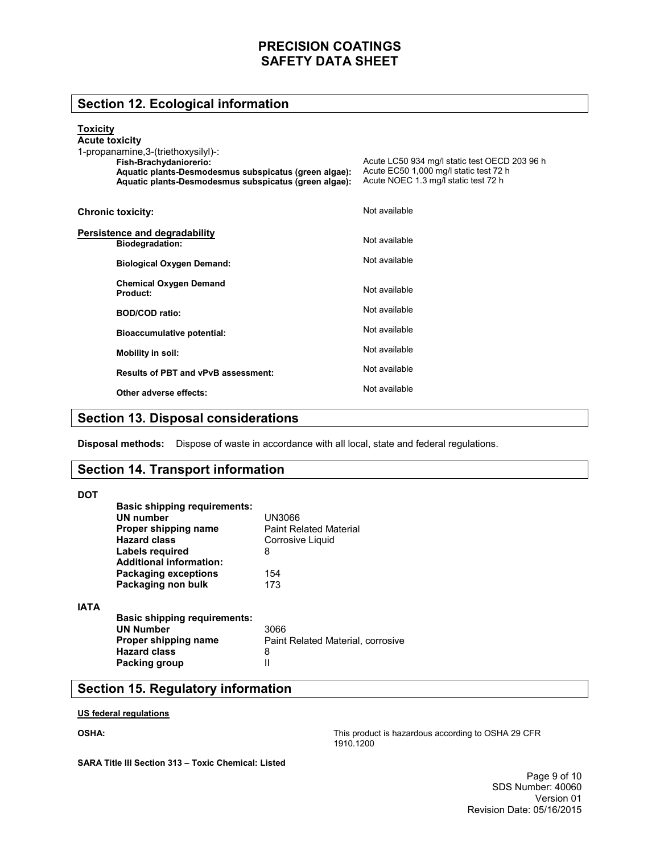## **Section 12. Ecological information**

### **Toxicity**

| <b>Acute toxicity</b><br>1-propanamine, 3-(triethoxysilyl)-:<br>Fish-Brachydaniorerio:<br>Aquatic plants-Desmodesmus subspicatus (green algae):<br>Aquatic plants-Desmodesmus subspicatus (green algae): | Acute LC50 934 mg/l static test OECD 203 96 h<br>Acute EC50 1,000 mg/l static test 72 h<br>Acute NOEC 1.3 mg/l static test 72 h |
|----------------------------------------------------------------------------------------------------------------------------------------------------------------------------------------------------------|---------------------------------------------------------------------------------------------------------------------------------|
| <b>Chronic toxicity:</b>                                                                                                                                                                                 | Not available                                                                                                                   |
| Persistence and degradability<br><b>Biodegradation:</b>                                                                                                                                                  | Not available                                                                                                                   |
| <b>Biological Oxygen Demand:</b>                                                                                                                                                                         | Not available                                                                                                                   |
| <b>Chemical Oxygen Demand</b><br>Product:                                                                                                                                                                | Not available                                                                                                                   |
| <b>BOD/COD</b> ratio:                                                                                                                                                                                    | Not available                                                                                                                   |
| <b>Bioaccumulative potential:</b>                                                                                                                                                                        | Not available                                                                                                                   |
| Mobility in soil:                                                                                                                                                                                        | Not available                                                                                                                   |
| <b>Results of PBT and vPvB assessment:</b>                                                                                                                                                               | Not available                                                                                                                   |
| Other adverse effects:                                                                                                                                                                                   | Not available                                                                                                                   |

## **Section 13. Disposal considerations**

**Disposal methods:** Dispose of waste in accordance with all local, state and federal regulations.

### **Section 14. Transport information**

#### **DOT**

|             | <b>Basic shipping requirements:</b><br>UN number<br>Proper shipping name<br><b>Hazard class</b>        | UN3066<br><b>Paint Related Material</b><br>Corrosive Liquid |
|-------------|--------------------------------------------------------------------------------------------------------|-------------------------------------------------------------|
|             | Labels required<br><b>Additional information:</b><br><b>Packaging exceptions</b><br>Packaging non bulk | 8<br>154<br>173                                             |
| <b>IATA</b> | <b>Basic shipping requirements:</b><br><b>UN Number</b><br>Proper shipping name<br><b>Hazard class</b> | 3066<br>Paint Related Material, corrosive<br>8              |
|             | Packing group                                                                                          |                                                             |

## **Section 15. Regulatory information**

#### **US federal regulations**

### **OSHA:**

This product is hazardous according to OSHA 29 CFR 1910.1200

**SARA Title III Section 313 – Toxic Chemical: Listed**